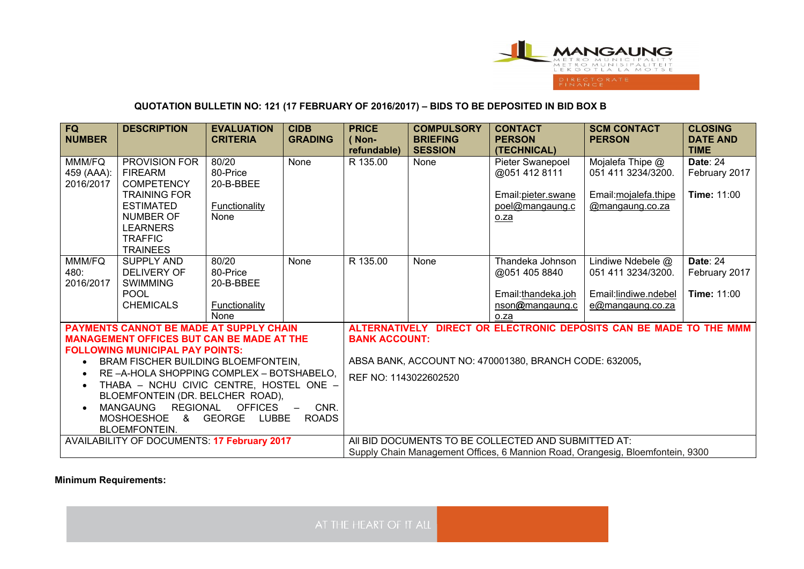

## **QUOTATION BULLETIN NO: 121 (17 FEBRUARY OF 2016/2017) – BIDS TO BE DEPOSITED IN BID BOX B**

| FQ<br><b>NUMBER</b>                                                                                                                                                                                                                                | <b>DESCRIPTION</b>                                                                     | <b>EVALUATION</b><br><b>CRITERIA</b>                   | <b>CIDB</b><br><b>GRADING</b> | <b>PRICE</b><br>(Non-<br>refundable)                                                                                                  | <b>COMPULSORY</b><br><b>BRIEFING</b><br><b>SESSION</b> | <b>CONTACT</b><br><b>PERSON</b><br>(TECHNICAL)                             | <b>SCM CONTACT</b><br><b>PERSON</b>                                                 | <b>CLOSING</b><br><b>DATE AND</b><br><b>TIME</b>       |
|----------------------------------------------------------------------------------------------------------------------------------------------------------------------------------------------------------------------------------------------------|----------------------------------------------------------------------------------------|--------------------------------------------------------|-------------------------------|---------------------------------------------------------------------------------------------------------------------------------------|--------------------------------------------------------|----------------------------------------------------------------------------|-------------------------------------------------------------------------------------|--------------------------------------------------------|
| MMM/FQ<br>459 (AAA):<br>2016/2017                                                                                                                                                                                                                  | <b>PROVISION FOR</b><br><b>FIREARM</b><br><b>COMPETENCY</b><br><b>TRAINING FOR</b>     | 80/20<br>80-Price<br>20-B-BBEE                         | None                          | R 135.00                                                                                                                              | None                                                   | <b>Pieter Swanepoel</b><br>@051 412 8111                                   | Mojalefa Thipe @<br>051 411 3234/3200.<br>Email:mojalefa.thipe                      | <b>Date: 24</b><br>February 2017<br><b>Time: 11:00</b> |
|                                                                                                                                                                                                                                                    | <b>ESTIMATED</b><br>NUMBER OF<br><b>LEARNERS</b><br><b>TRAFFIC</b><br><b>TRAINEES</b>  | <b>Functionality</b><br>None                           |                               |                                                                                                                                       |                                                        | Email: pieter.swane<br>poel@mangaung.c<br>o.za                             | @mangaung.co.za                                                                     |                                                        |
| MMM/FQ<br>480:<br>2016/2017                                                                                                                                                                                                                        | <b>SUPPLY AND</b><br>DELIVERY OF<br><b>SWIMMING</b><br><b>POOL</b><br><b>CHEMICALS</b> | 80/20<br>80-Price<br>20-B-BBEE<br><b>Functionality</b> | None                          | R 135.00                                                                                                                              | None                                                   | Thandeka Johnson<br>@051 405 8840<br>Email:thandeka.joh<br>nson@mangaung.c | Lindiwe Ndebele @<br>051 411 3234/3200.<br>Email:lindiwe.ndebel<br>e@mangaung.co.za | <b>Date: 24</b><br>February 2017<br><b>Time: 11:00</b> |
|                                                                                                                                                                                                                                                    |                                                                                        | None                                                   |                               |                                                                                                                                       |                                                        | o.za                                                                       |                                                                                     |                                                        |
| <b>PAYMENTS CANNOT BE MADE AT SUPPLY CHAIN</b><br><b>MANAGEMENT OFFICES BUT CAN BE MADE AT THE</b><br><b>FOLLOWING MUNICIPAL PAY POINTS:</b>                                                                                                       |                                                                                        |                                                        |                               | DIRECT OR ELECTRONIC DEPOSITS CAN BE MADE TO THE MMM<br><b>ALTERNATIVELY</b><br><b>BANK ACCOUNT:</b>                                  |                                                        |                                                                            |                                                                                     |                                                        |
| <b>BRAM FISCHER BUILDING BLOEMFONTEIN,</b><br>RE-A-HOLA SHOPPING COMPLEX - BOTSHABELO,<br>$\bullet$                                                                                                                                                |                                                                                        |                                                        |                               | ABSA BANK, ACCOUNT NO: 470001380, BRANCH CODE: 632005,                                                                                |                                                        |                                                                            |                                                                                     |                                                        |
| THABA - NCHU CIVIC CENTRE, HOSTEL ONE -<br>$\bullet$<br>BLOEMFONTEIN (DR. BELCHER ROAD),<br><b>MANGAUNG</b><br>REGIONAL OFFICES<br>CNR.<br>$\bullet$<br><b>MOSHOESHOE</b><br><b>GEORGE</b><br>LUBBE<br><b>ROADS</b><br>- &<br><b>BLOEMFONTEIN.</b> |                                                                                        |                                                        |                               | REF NO: 1143022602520                                                                                                                 |                                                        |                                                                            |                                                                                     |                                                        |
| AVAILABILITY OF DOCUMENTS: 17 February 2017                                                                                                                                                                                                        |                                                                                        |                                                        |                               | All BID DOCUMENTS TO BE COLLECTED AND SUBMITTED AT:<br>Supply Chain Management Offices, 6 Mannion Road, Orangesig, Bloemfontein, 9300 |                                                        |                                                                            |                                                                                     |                                                        |

## **Minimum Requirements:**